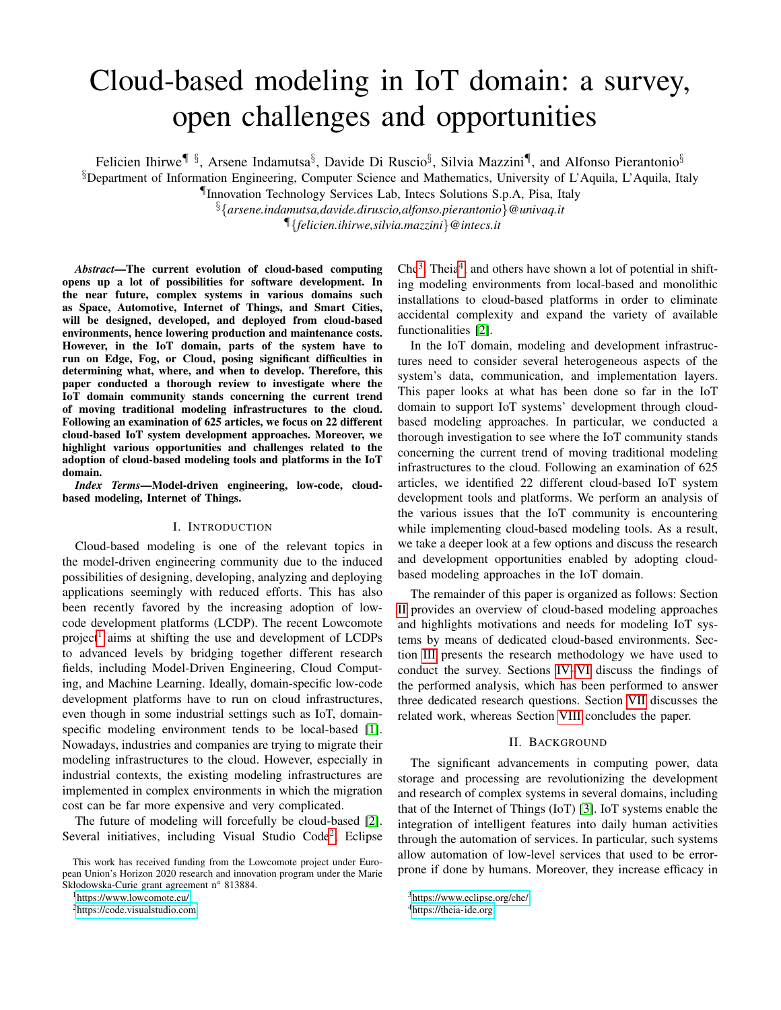# Cloud-based modeling in IoT domain: a survey, open challenges and opportunities

Felicien Ihirwe $\P$ §, Arsene Indamutsa§, Davide Di Ruscio§, Silvia Mazzini $\P$ , and Alfonso Pierantonio§

 $\S$ Department of Information Engineering, Computer Science and Mathematics, University of L'Aquila, L'Aquila, Italy

¶Innovation Technology Services Lab, Intecs Solutions S.p.A, Pisa, Italy

§{*arsene.indamutsa,davide.diruscio,alfonso.pierantonio*}*@univaq.it*

¶{*felicien.ihirwe,silvia.mazzini*}*@intecs.it*

*Abstract*—The current evolution of cloud-based computing opens up a lot of possibilities for software development. In the near future, complex systems in various domains such as Space, Automotive, Internet of Things, and Smart Cities, will be designed, developed, and deployed from cloud-based environments, hence lowering production and maintenance costs. However, in the IoT domain, parts of the system have to run on Edge, Fog, or Cloud, posing significant difficulties in determining what, where, and when to develop. Therefore, this paper conducted a thorough review to investigate where the IoT domain community stands concerning the current trend of moving traditional modeling infrastructures to the cloud. Following an examination of 625 articles, we focus on 22 different cloud-based IoT system development approaches. Moreover, we highlight various opportunities and challenges related to the adoption of cloud-based modeling tools and platforms in the IoT domain.

*Index Terms*—Model-driven engineering, low-code, cloudbased modeling, Internet of Things.

## I. INTRODUCTION

Cloud-based modeling is one of the relevant topics in the model-driven engineering community due to the induced possibilities of designing, developing, analyzing and deploying applications seemingly with reduced efforts. This has also been recently favored by the increasing adoption of lowcode development platforms (LCDP). The recent Lowcomote project<sup>[1](#page-0-0)</sup> aims at shifting the use and development of LCDPs to advanced levels by bridging together different research fields, including Model-Driven Engineering, Cloud Computing, and Machine Learning. Ideally, domain-specific low-code development platforms have to run on cloud infrastructures, even though in some industrial settings such as IoT, domainspecific modeling environment tends to be local-based [\[1\]](#page-8-0). Nowadays, industries and companies are trying to migrate their modeling infrastructures to the cloud. However, especially in industrial contexts, the existing modeling infrastructures are implemented in complex environments in which the migration cost can be far more expensive and very complicated.

The future of modeling will forcefully be cloud-based [\[2\]](#page-8-1). Several initiatives, including Visual Studio Code<sup>[2](#page-0-1)</sup>, Eclipse

This work has received funding from the Lowcomote project under European Union's Horizon 2020 research and innovation program under the Marie Skłodowska-Curie grant agreement n° 813884.

<span id="page-0-0"></span><sup>1</sup><https://www.lowcomote.eu/>

<span id="page-0-1"></span><sup>2</sup><https://code.visualstudio.com>

 $\text{Che}^3$  $\text{Che}^3$ , Theia<sup>[4](#page-0-3)</sup>, and others have shown a lot of potential in shifting modeling environments from local-based and monolithic installations to cloud-based platforms in order to eliminate accidental complexity and expand the variety of available functionalities [\[2\]](#page-8-1).

In the IoT domain, modeling and development infrastructures need to consider several heterogeneous aspects of the system's data, communication, and implementation layers. This paper looks at what has been done so far in the IoT domain to support IoT systems' development through cloudbased modeling approaches. In particular, we conducted a thorough investigation to see where the IoT community stands concerning the current trend of moving traditional modeling infrastructures to the cloud. Following an examination of 625 articles, we identified 22 different cloud-based IoT system development tools and platforms. We perform an analysis of the various issues that the IoT community is encountering while implementing cloud-based modeling tools. As a result, we take a deeper look at a few options and discuss the research and development opportunities enabled by adopting cloudbased modeling approaches in the IoT domain.

The remainder of this paper is organized as follows: Section [II](#page-0-4) provides an overview of cloud-based modeling approaches and highlights motivations and needs for modeling IoT systems by means of dedicated cloud-based environments. Section [III](#page-1-0) presents the research methodology we have used to conduct the survey. Sections [IV](#page-2-0)[–VI](#page-6-0) discuss the findings of the performed analysis, which has been performed to answer three dedicated research questions. Section [VII](#page-7-0) discusses the related work, whereas Section [VIII](#page-7-1) concludes the paper.

## II. BACKGROUND

<span id="page-0-4"></span>The significant advancements in computing power, data storage and processing are revolutionizing the development and research of complex systems in several domains, including that of the Internet of Things (IoT) [\[3\]](#page-8-2). IoT systems enable the integration of intelligent features into daily human activities through the automation of services. In particular, such systems allow automation of low-level services that used to be errorprone if done by humans. Moreover, they increase efficacy in

<span id="page-0-2"></span><sup>3</sup><https://www.eclipse.org/che/>

<span id="page-0-3"></span><sup>4</sup><https://theia-ide.org>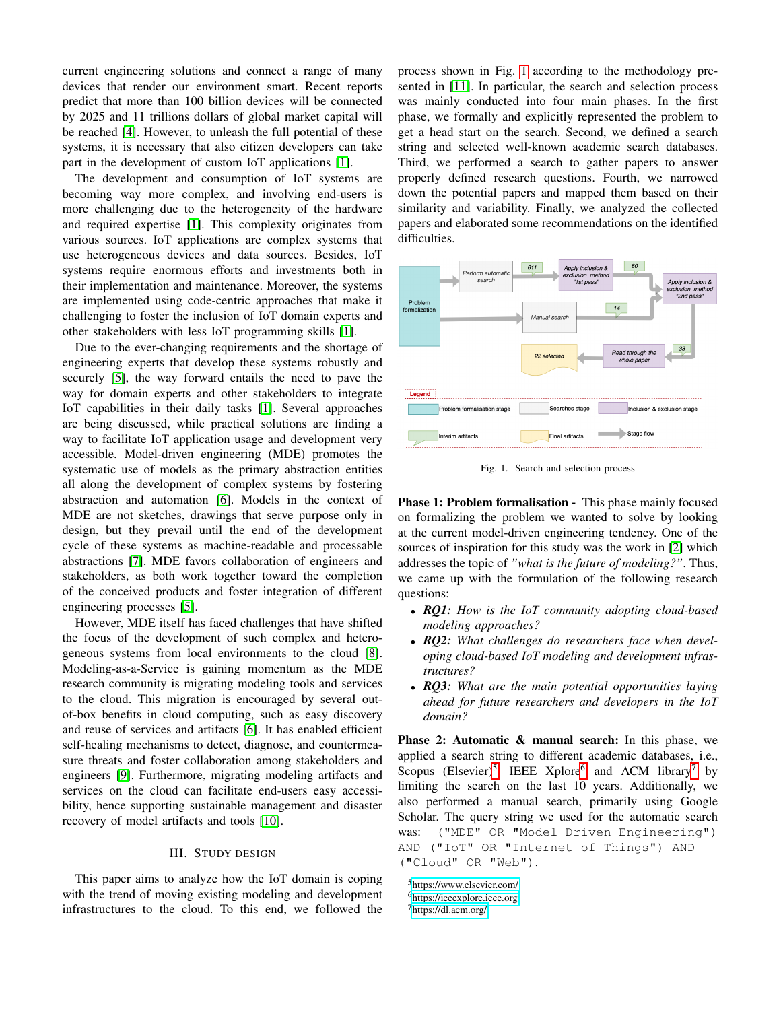current engineering solutions and connect a range of many devices that render our environment smart. Recent reports predict that more than 100 billion devices will be connected by 2025 and 11 trillions dollars of global market capital will be reached [\[4\]](#page-8-3). However, to unleash the full potential of these systems, it is necessary that also citizen developers can take part in the development of custom IoT applications [\[1\]](#page-8-0).

The development and consumption of IoT systems are becoming way more complex, and involving end-users is more challenging due to the heterogeneity of the hardware and required expertise [\[1\]](#page-8-0). This complexity originates from various sources. IoT applications are complex systems that use heterogeneous devices and data sources. Besides, IoT systems require enormous efforts and investments both in their implementation and maintenance. Moreover, the systems are implemented using code-centric approaches that make it challenging to foster the inclusion of IoT domain experts and other stakeholders with less IoT programming skills [\[1\]](#page-8-0).

Due to the ever-changing requirements and the shortage of engineering experts that develop these systems robustly and securely [\[5\]](#page-8-4), the way forward entails the need to pave the way for domain experts and other stakeholders to integrate IoT capabilities in their daily tasks [\[1\]](#page-8-0). Several approaches are being discussed, while practical solutions are finding a way to facilitate IoT application usage and development very accessible. Model-driven engineering (MDE) promotes the systematic use of models as the primary abstraction entities all along the development of complex systems by fostering abstraction and automation [\[6\]](#page-8-5). Models in the context of MDE are not sketches, drawings that serve purpose only in design, but they prevail until the end of the development cycle of these systems as machine-readable and processable abstractions [\[7\]](#page-8-6). MDE favors collaboration of engineers and stakeholders, as both work together toward the completion of the conceived products and foster integration of different engineering processes [\[5\]](#page-8-4).

However, MDE itself has faced challenges that have shifted the focus of the development of such complex and heterogeneous systems from local environments to the cloud [\[8\]](#page-8-7). Modeling-as-a-Service is gaining momentum as the MDE research community is migrating modeling tools and services to the cloud. This migration is encouraged by several outof-box benefits in cloud computing, such as easy discovery and reuse of services and artifacts [\[6\]](#page-8-5). It has enabled efficient self-healing mechanisms to detect, diagnose, and countermeasure threats and foster collaboration among stakeholders and engineers [\[9\]](#page-8-8). Furthermore, migrating modeling artifacts and services on the cloud can facilitate end-users easy accessibility, hence supporting sustainable management and disaster recovery of model artifacts and tools [\[10\]](#page-8-9).

## III. STUDY DESIGN

<span id="page-1-0"></span>This paper aims to analyze how the IoT domain is coping with the trend of moving existing modeling and development infrastructures to the cloud. To this end, we followed the process shown in Fig. [1](#page-1-1) according to the methodology presented in [\[11\]](#page-8-10). In particular, the search and selection process was mainly conducted into four main phases. In the first phase, we formally and explicitly represented the problem to get a head start on the search. Second, we defined a search string and selected well-known academic search databases. Third, we performed a search to gather papers to answer properly defined research questions. Fourth, we narrowed down the potential papers and mapped them based on their similarity and variability. Finally, we analyzed the collected papers and elaborated some recommendations on the identified difficulties.



<span id="page-1-1"></span>Fig. 1. Search and selection process

Phase 1: Problem formalisation - This phase mainly focused on formalizing the problem we wanted to solve by looking at the current model-driven engineering tendency. One of the sources of inspiration for this study was the work in [\[2\]](#page-8-1) which addresses the topic of *"what is the future of modeling?"*. Thus, we came up with the formulation of the following research questions:

- *RQ1: How is the IoT community adopting cloud-based modeling approaches?*
- *RQ2: What challenges do researchers face when developing cloud-based IoT modeling and development infrastructures?*
- *RQ3: What are the main potential opportunities laying ahead for future researchers and developers in the IoT domain?*

Phase 2: Automatic & manual search: In this phase, we applied a search string to different academic databases, i.e., Scopus (Elsevier)<sup>[5](#page-1-2)</sup>, IEEE Xplore<sup>[6](#page-1-3)</sup> and ACM library<sup>[7](#page-1-4)</sup> by limiting the search on the last 10 years. Additionally, we also performed a manual search, primarily using Google Scholar. The query string we used for the automatic search was: ("MDE" OR "Model Driven Engineering") AND ("IoT" OR "Internet of Things") AND ("Cloud" OR "Web").

<span id="page-1-2"></span><sup>5</sup><https://www.elsevier.com/>

<span id="page-1-3"></span><sup>6</sup><https://ieeexplore.ieee.org>

<span id="page-1-4"></span><sup>7</sup><https://dl.acm.org/>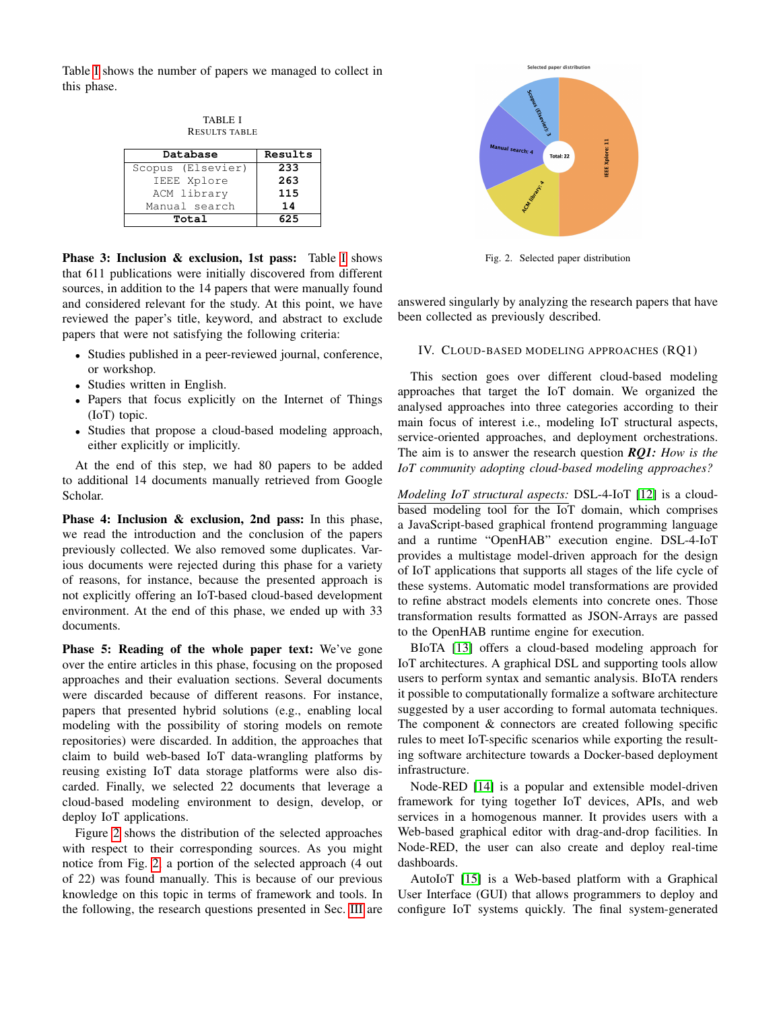<span id="page-2-1"></span>Table [I](#page-2-1) shows the number of papers we managed to collect in this phase.

TABLE I RESULTS TABLE

| Database          | Results |  |
|-------------------|---------|--|
| Scopus (Elsevier) | 233     |  |
| IEEE Xplore       | 263     |  |
| ACM library       | 115     |  |
| Manual search     | 14      |  |
| Total             | 625     |  |

Phase 3: Inclusion & exclusion, 1st pass: Table [I](#page-2-1) shows that 611 publications were initially discovered from different sources, in addition to the 14 papers that were manually found and considered relevant for the study. At this point, we have reviewed the paper's title, keyword, and abstract to exclude papers that were not satisfying the following criteria:

- Studies published in a peer-reviewed journal, conference, or workshop.
- Studies written in English.
- Papers that focus explicitly on the Internet of Things (IoT) topic.
- Studies that propose a cloud-based modeling approach, either explicitly or implicitly.

At the end of this step, we had 80 papers to be added to additional 14 documents manually retrieved from Google Scholar.

Phase 4: Inclusion & exclusion, 2nd pass: In this phase, we read the introduction and the conclusion of the papers previously collected. We also removed some duplicates. Various documents were rejected during this phase for a variety of reasons, for instance, because the presented approach is not explicitly offering an IoT-based cloud-based development environment. At the end of this phase, we ended up with 33 documents.

Phase 5: Reading of the whole paper text: We've gone over the entire articles in this phase, focusing on the proposed approaches and their evaluation sections. Several documents were discarded because of different reasons. For instance, papers that presented hybrid solutions (e.g., enabling local modeling with the possibility of storing models on remote repositories) were discarded. In addition, the approaches that claim to build web-based IoT data-wrangling platforms by reusing existing IoT data storage platforms were also discarded. Finally, we selected 22 documents that leverage a cloud-based modeling environment to design, develop, or deploy IoT applications.

Figure [2](#page-2-2) shows the distribution of the selected approaches with respect to their corresponding sources. As you might notice from Fig. [2,](#page-2-2) a portion of the selected approach (4 out of 22) was found manually. This is because of our previous knowledge on this topic in terms of framework and tools. In the following, the research questions presented in Sec. [III](#page-1-0) are



<span id="page-2-2"></span>Fig. 2. Selected paper distribution

answered singularly by analyzing the research papers that have been collected as previously described.

## <span id="page-2-0"></span>IV. CLOUD-BASED MODELING APPROACHES (RQ1)

This section goes over different cloud-based modeling approaches that target the IoT domain. We organized the analysed approaches into three categories according to their main focus of interest i.e., modeling IoT structural aspects, service-oriented approaches, and deployment orchestrations. The aim is to answer the research question *RQ1: How is the IoT community adopting cloud-based modeling approaches?*

*Modeling IoT structural aspects:* DSL-4-IoT [\[12\]](#page-8-11) is a cloudbased modeling tool for the IoT domain, which comprises a JavaScript-based graphical frontend programming language and a runtime "OpenHAB" execution engine. DSL-4-IoT provides a multistage model-driven approach for the design of IoT applications that supports all stages of the life cycle of these systems. Automatic model transformations are provided to refine abstract models elements into concrete ones. Those transformation results formatted as JSON-Arrays are passed to the OpenHAB runtime engine for execution.

BIoTA [\[13\]](#page-8-12) offers a cloud-based modeling approach for IoT architectures. A graphical DSL and supporting tools allow users to perform syntax and semantic analysis. BIoTA renders it possible to computationally formalize a software architecture suggested by a user according to formal automata techniques. The component & connectors are created following specific rules to meet IoT-specific scenarios while exporting the resulting software architecture towards a Docker-based deployment infrastructure.

Node-RED [\[14\]](#page-8-13) is a popular and extensible model-driven framework for tying together IoT devices, APIs, and web services in a homogenous manner. It provides users with a Web-based graphical editor with drag-and-drop facilities. In Node-RED, the user can also create and deploy real-time dashboards.

AutoIoT [\[15\]](#page-8-14) is a Web-based platform with a Graphical User Interface (GUI) that allows programmers to deploy and configure IoT systems quickly. The final system-generated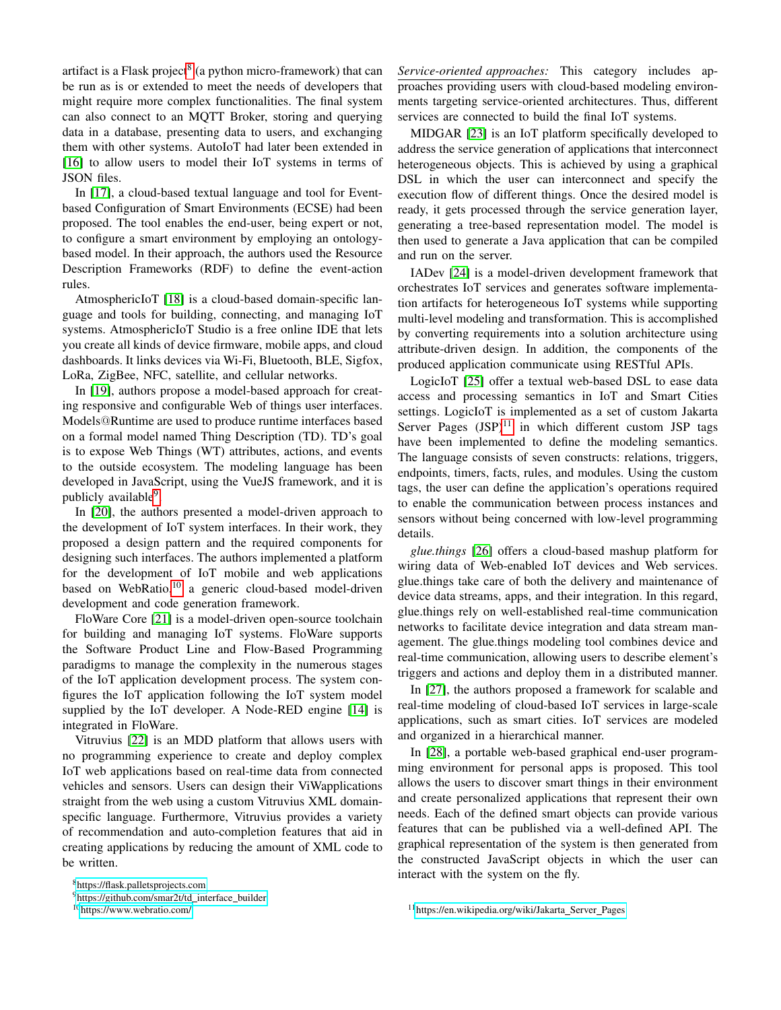artifact is a Flask project<sup>[8](#page-3-0)</sup> (a python micro-framework) that can be run as is or extended to meet the needs of developers that might require more complex functionalities. The final system can also connect to an MQTT Broker, storing and querying data in a database, presenting data to users, and exchanging them with other systems. AutoIoT had later been extended in [\[16\]](#page-8-15) to allow users to model their IoT systems in terms of JSON files.

In [\[17\]](#page-8-16), a cloud-based textual language and tool for Eventbased Configuration of Smart Environments (ECSE) had been proposed. The tool enables the end-user, being expert or not, to configure a smart environment by employing an ontologybased model. In their approach, the authors used the Resource Description Frameworks (RDF) to define the event-action rules.

AtmosphericIoT [\[18\]](#page-8-17) is a cloud-based domain-specific language and tools for building, connecting, and managing IoT systems. AtmosphericIoT Studio is a free online IDE that lets you create all kinds of device firmware, mobile apps, and cloud dashboards. It links devices via Wi-Fi, Bluetooth, BLE, Sigfox, LoRa, ZigBee, NFC, satellite, and cellular networks.

In [\[19\]](#page-8-18), authors propose a model-based approach for creating responsive and configurable Web of things user interfaces. Models@Runtime are used to produce runtime interfaces based on a formal model named Thing Description (TD). TD's goal is to expose Web Things (WT) attributes, actions, and events to the outside ecosystem. The modeling language has been developed in JavaScript, using the VueJS framework, and it is publicly available<sup>[9](#page-3-1)</sup>.

In [\[20\]](#page-8-19), the authors presented a model-driven approach to the development of IoT system interfaces. In their work, they proposed a design pattern and the required components for designing such interfaces. The authors implemented a platform for the development of IoT mobile and web applications based on WebRatio,<sup>[10](#page-3-2)</sup> a generic cloud-based model-driven development and code generation framework.

FloWare Core [\[21\]](#page-8-20) is a model-driven open-source toolchain for building and managing IoT systems. FloWare supports the Software Product Line and Flow-Based Programming paradigms to manage the complexity in the numerous stages of the IoT application development process. The system configures the IoT application following the IoT system model supplied by the IoT developer. A Node-RED engine [\[14\]](#page-8-13) is integrated in FloWare.

Vitruvius [\[22\]](#page-8-21) is an MDD platform that allows users with no programming experience to create and deploy complex IoT web applications based on real-time data from connected vehicles and sensors. Users can design their ViWapplications straight from the web using a custom Vitruvius XML domainspecific language. Furthermore, Vitruvius provides a variety of recommendation and auto-completion features that aid in creating applications by reducing the amount of XML code to be written.

<span id="page-3-0"></span><sup>8</sup><https://flask.palletsprojects.com>

<span id="page-3-2"></span><sup>10</sup><https://www.webratio.com/>

*Service-oriented approaches:* This category includes approaches providing users with cloud-based modeling environments targeting service-oriented architectures. Thus, different services are connected to build the final IoT systems.

MIDGAR [\[23\]](#page-8-22) is an IoT platform specifically developed to address the service generation of applications that interconnect heterogeneous objects. This is achieved by using a graphical DSL in which the user can interconnect and specify the execution flow of different things. Once the desired model is ready, it gets processed through the service generation layer, generating a tree-based representation model. The model is then used to generate a Java application that can be compiled and run on the server.

IADev [\[24\]](#page-8-23) is a model-driven development framework that orchestrates IoT services and generates software implementation artifacts for heterogeneous IoT systems while supporting multi-level modeling and transformation. This is accomplished by converting requirements into a solution architecture using attribute-driven design. In addition, the components of the produced application communicate using RESTful APIs.

LogicIoT [\[25\]](#page-8-24) offer a textual web-based DSL to ease data access and processing semantics in IoT and Smart Cities settings. LogicIoT is implemented as a set of custom Jakarta Server Pages  $(JSP)^{11}$  $(JSP)^{11}$  $(JSP)^{11}$  in which different custom JSP tags have been implemented to define the modeling semantics. The language consists of seven constructs: relations, triggers, endpoints, timers, facts, rules, and modules. Using the custom tags, the user can define the application's operations required to enable the communication between process instances and sensors without being concerned with low-level programming details.

*glue.things* [\[26\]](#page-8-25) offers a cloud-based mashup platform for wiring data of Web-enabled IoT devices and Web services. glue.things take care of both the delivery and maintenance of device data streams, apps, and their integration. In this regard, glue.things rely on well-established real-time communication networks to facilitate device integration and data stream management. The glue.things modeling tool combines device and real-time communication, allowing users to describe element's triggers and actions and deploy them in a distributed manner.

In [\[27\]](#page-8-26), the authors proposed a framework for scalable and real-time modeling of cloud-based IoT services in large-scale applications, such as smart cities. IoT services are modeled and organized in a hierarchical manner.

In [\[28\]](#page-8-27), a portable web-based graphical end-user programming environment for personal apps is proposed. This tool allows the users to discover smart things in their environment and create personalized applications that represent their own needs. Each of the defined smart objects can provide various features that can be published via a well-defined API. The graphical representation of the system is then generated from the constructed JavaScript objects in which the user can interact with the system on the fly.

<span id="page-3-1"></span><sup>&</sup>lt;sup>9</sup>[https://github.com/smar2t/td](https://github.com/smar2t/td_interface_builder)\_interface\_builder

<span id="page-3-3"></span><sup>&</sup>lt;sup>11</sup>[https://en.wikipedia.org/wiki/Jakarta](https://en.wikipedia.org/wiki/Jakarta_Server_Pages)\_Server\_Pages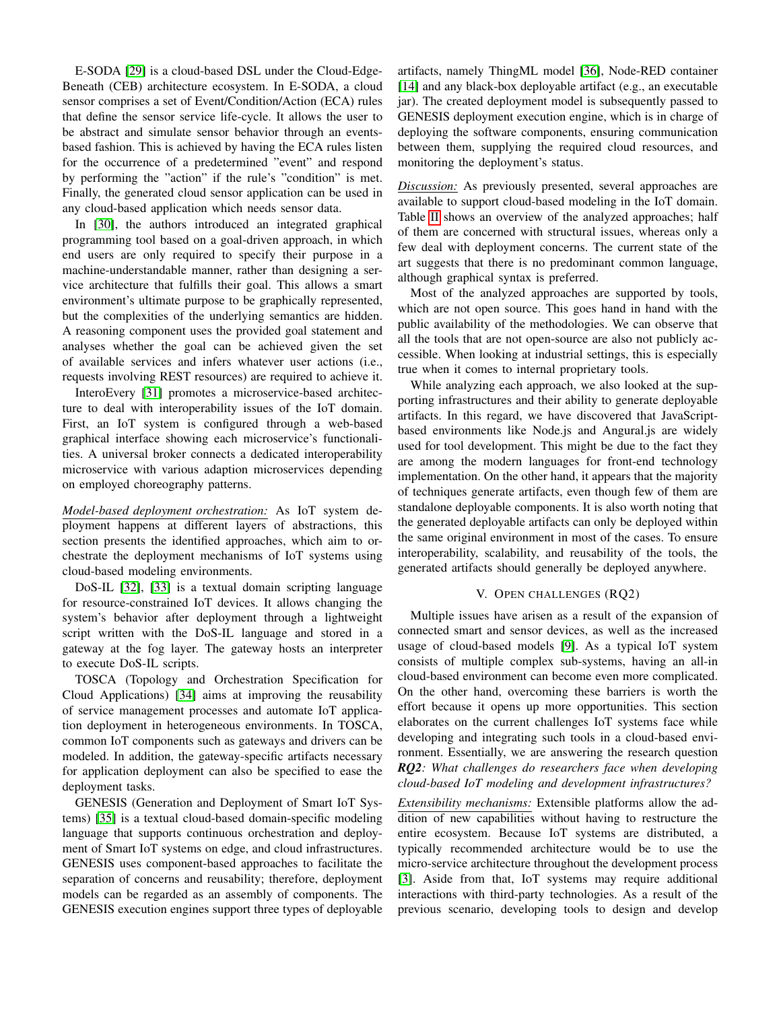E-SODA [\[29\]](#page-8-28) is a cloud-based DSL under the Cloud-Edge-Beneath (CEB) architecture ecosystem. In E-SODA, a cloud sensor comprises a set of Event/Condition/Action (ECA) rules that define the sensor service life-cycle. It allows the user to be abstract and simulate sensor behavior through an eventsbased fashion. This is achieved by having the ECA rules listen for the occurrence of a predetermined "event" and respond by performing the "action" if the rule's "condition" is met. Finally, the generated cloud sensor application can be used in any cloud-based application which needs sensor data.

In [\[30\]](#page-8-29), the authors introduced an integrated graphical programming tool based on a goal-driven approach, in which end users are only required to specify their purpose in a machine-understandable manner, rather than designing a service architecture that fulfills their goal. This allows a smart environment's ultimate purpose to be graphically represented, but the complexities of the underlying semantics are hidden. A reasoning component uses the provided goal statement and analyses whether the goal can be achieved given the set of available services and infers whatever user actions (i.e., requests involving REST resources) are required to achieve it.

InteroEvery [\[31\]](#page-8-30) promotes a microservice-based architecture to deal with interoperability issues of the IoT domain. First, an IoT system is configured through a web-based graphical interface showing each microservice's functionalities. A universal broker connects a dedicated interoperability microservice with various adaption microservices depending on employed choreography patterns.

*Model-based deployment orchestration:* As IoT system deployment happens at different layers of abstractions, this section presents the identified approaches, which aim to orchestrate the deployment mechanisms of IoT systems using cloud-based modeling environments.

DoS-IL [\[32\]](#page-8-31), [\[33\]](#page-8-32) is a textual domain scripting language for resource-constrained IoT devices. It allows changing the system's behavior after deployment through a lightweight script written with the DoS-IL language and stored in a gateway at the fog layer. The gateway hosts an interpreter to execute DoS-IL scripts.

TOSCA (Topology and Orchestration Specification for Cloud Applications) [\[34\]](#page-8-33) aims at improving the reusability of service management processes and automate IoT application deployment in heterogeneous environments. In TOSCA, common IoT components such as gateways and drivers can be modeled. In addition, the gateway-specific artifacts necessary for application deployment can also be specified to ease the deployment tasks.

GENESIS (Generation and Deployment of Smart IoT Systems) [\[35\]](#page-8-34) is a textual cloud-based domain-specific modeling language that supports continuous orchestration and deployment of Smart IoT systems on edge, and cloud infrastructures. GENESIS uses component-based approaches to facilitate the separation of concerns and reusability; therefore, deployment models can be regarded as an assembly of components. The GENESIS execution engines support three types of deployable

artifacts, namely ThingML model [\[36\]](#page-8-35), Node-RED container [\[14\]](#page-8-13) and any black-box deployable artifact (e.g., an executable jar). The created deployment model is subsequently passed to GENESIS deployment execution engine, which is in charge of deploying the software components, ensuring communication between them, supplying the required cloud resources, and monitoring the deployment's status.

*Discussion:* As previously presented, several approaches are available to support cloud-based modeling in the IoT domain. Table [II](#page-5-0) shows an overview of the analyzed approaches; half of them are concerned with structural issues, whereas only a few deal with deployment concerns. The current state of the art suggests that there is no predominant common language, although graphical syntax is preferred.

Most of the analyzed approaches are supported by tools, which are not open source. This goes hand in hand with the public availability of the methodologies. We can observe that all the tools that are not open-source are also not publicly accessible. When looking at industrial settings, this is especially true when it comes to internal proprietary tools.

While analyzing each approach, we also looked at the supporting infrastructures and their ability to generate deployable artifacts. In this regard, we have discovered that JavaScriptbased environments like Node.js and Angural.js are widely used for tool development. This might be due to the fact they are among the modern languages for front-end technology implementation. On the other hand, it appears that the majority of techniques generate artifacts, even though few of them are standalone deployable components. It is also worth noting that the generated deployable artifacts can only be deployed within the same original environment in most of the cases. To ensure interoperability, scalability, and reusability of the tools, the generated artifacts should generally be deployed anywhere.

## V. OPEN CHALLENGES (RQ2)

Multiple issues have arisen as a result of the expansion of connected smart and sensor devices, as well as the increased usage of cloud-based models [\[9\]](#page-8-8). As a typical IoT system consists of multiple complex sub-systems, having an all-in cloud-based environment can become even more complicated. On the other hand, overcoming these barriers is worth the effort because it opens up more opportunities. This section elaborates on the current challenges IoT systems face while developing and integrating such tools in a cloud-based environment. Essentially, we are answering the research question *RQ2: What challenges do researchers face when developing cloud-based IoT modeling and development infrastructures?*

*Extensibility mechanisms:* Extensible platforms allow the addition of new capabilities without having to restructure the entire ecosystem. Because IoT systems are distributed, a typically recommended architecture would be to use the micro-service architecture throughout the development process [\[3\]](#page-8-2). Aside from that, IoT systems may require additional interactions with third-party technologies. As a result of the previous scenario, developing tools to design and develop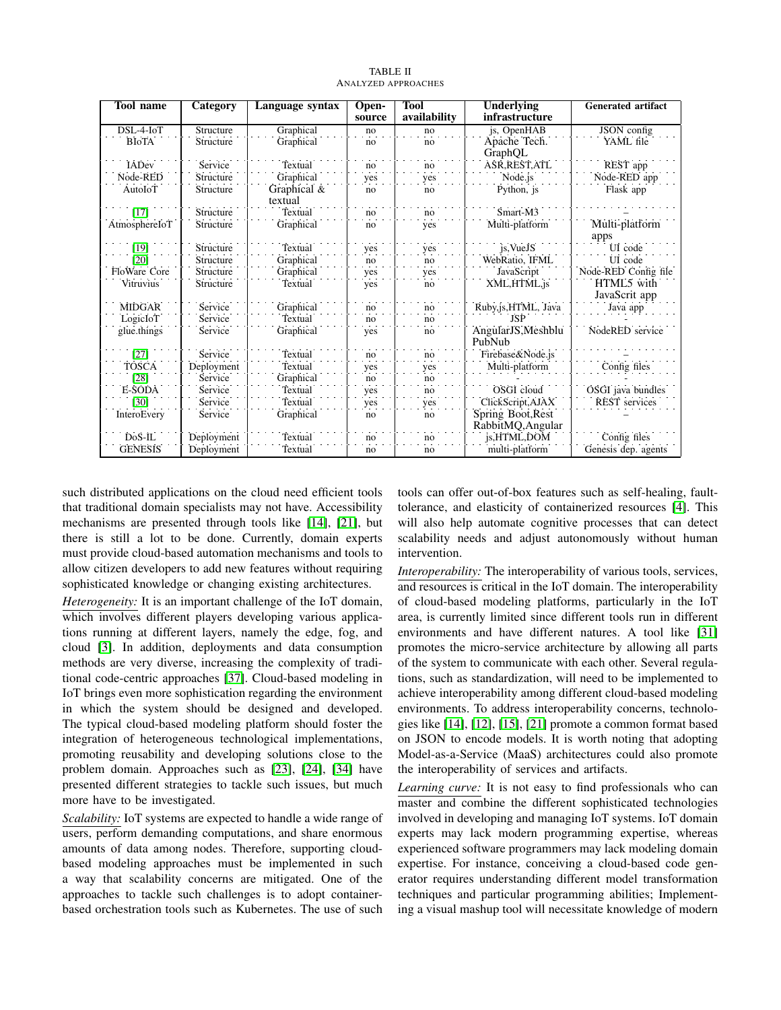<span id="page-5-0"></span>

| <b>Tool name</b> | Category   | Language syntax        | Open-<br>source | <b>Tool</b><br>availability | Underlying<br>infrastructure | <b>Generated artifact</b>   |
|------------------|------------|------------------------|-----------------|-----------------------------|------------------------------|-----------------------------|
| $DSL-4-IoT$      | Structure  | Graphical              | no              | no                          | js, OpenHAB                  | JSON config                 |
| <b>BIOTA</b>     | Structure  | Graphical              | no              | no                          | Apache Tech.                 | YAML file                   |
|                  |            |                        |                 |                             | GraphQL                      |                             |
| <b>IADev</b>     | Service    | Textual                | no              | no                          | ASR REST ATL                 | REST app                    |
| Node-RED         | Structure  | Graphical              | yes             | yes                         | Node.js                      | Node-RED app                |
| AutoIoT          | Structure  | Graphical &<br>textual | no              | no                          | Python, js                   | Flask app                   |
| $[17]$           | Structure  | Textual                | no              | no                          | Smart-M3                     |                             |
| AtmosphereIoT    | Structure  | Graphical              | no              | yes                         | Multi-platform               | Multi-platform              |
|                  |            |                        |                 |                             |                              | apps                        |
| [19]             | Structure  | Textual                | yes             | yes                         | js, VueJS                    | UI code                     |
| $\overline{201}$ | Structure  | Graphical              | no              | no                          | WebRatio, IFML               | UI code                     |
| FloWare Core     | Structure  | Graphical              | yes             | yes                         | JavaScript                   | Node-RED Config file        |
| Vitruvius        | Structure  | Textual                | yes             | no                          | XML, HTML, js                | HTML5 with<br>JavaScrit app |
| <b>MIDGAR</b>    | Service    | Graphical              | no              | no                          | Ruby,js,HTML, Java           | Java app                    |
| LogicIoT         | Service    | Textual                | no              | no                          | JSP                          |                             |
| glue.things      | Service    | Graphical              | yes             | no                          | AngularJS, Meshblu           | NodeRED service             |
|                  |            |                        |                 |                             | PubNub                       |                             |
| $\overline{271}$ | Service    | Textual                | no              | no                          | Firebase&Node.js             |                             |
| TOŚCA            | Deployment | Textual                | yes             | yes                         | Multi-platform               | Config files                |
| [28]             | Service    | Graphical              | no              | no                          |                              |                             |
| E-SODA           | Service    | Textual                | yes             | no                          | OSGI cloud                   | OSGI java bundles           |
| <b>1301</b>      | Service    | Textual                | yes             | yes                         | ClickScript, AJAX            | <b>REST</b> services        |
| InteroEvery      | Service    | Graphical              | no              | no                          | Spring Boot, Rest            |                             |
|                  |            |                        |                 |                             | RabbitMQ, Angular            |                             |
| $DoS-IL$         | Deployment | Textual                | no              | no                          | js, HTML, DOM                | Config files                |
| <b>GENESIS</b>   | Deployment | Textual                | no              | no                          | multi-platform               | Genesis dep. agents         |

TABLE II ANALYZED APPROACHES

such distributed applications on the cloud need efficient tools that traditional domain specialists may not have. Accessibility mechanisms are presented through tools like [\[14\]](#page-8-13), [\[21\]](#page-8-20), but there is still a lot to be done. Currently, domain experts must provide cloud-based automation mechanisms and tools to allow citizen developers to add new features without requiring sophisticated knowledge or changing existing architectures.

*Heterogeneity:* It is an important challenge of the IoT domain, which involves different players developing various applications running at different layers, namely the edge, fog, and cloud [\[3\]](#page-8-2). In addition, deployments and data consumption methods are very diverse, increasing the complexity of traditional code-centric approaches [\[37\]](#page-9-0). Cloud-based modeling in IoT brings even more sophistication regarding the environment in which the system should be designed and developed. The typical cloud-based modeling platform should foster the integration of heterogeneous technological implementations, promoting reusability and developing solutions close to the problem domain. Approaches such as [\[23\]](#page-8-22), [\[24\]](#page-8-23), [\[34\]](#page-8-33) have presented different strategies to tackle such issues, but much more have to be investigated.

*Scalability:* IoT systems are expected to handle a wide range of users, perform demanding computations, and share enormous amounts of data among nodes. Therefore, supporting cloudbased modeling approaches must be implemented in such a way that scalability concerns are mitigated. One of the approaches to tackle such challenges is to adopt containerbased orchestration tools such as Kubernetes. The use of such

tools can offer out-of-box features such as self-healing, faulttolerance, and elasticity of containerized resources [\[4\]](#page-8-3). This will also help automate cognitive processes that can detect scalability needs and adjust autonomously without human intervention.

*Interoperability:* The interoperability of various tools, services, and resources is critical in the IoT domain. The interoperability of cloud-based modeling platforms, particularly in the IoT area, is currently limited since different tools run in different environments and have different natures. A tool like [\[31\]](#page-8-30) promotes the micro-service architecture by allowing all parts of the system to communicate with each other. Several regulations, such as standardization, will need to be implemented to achieve interoperability among different cloud-based modeling environments. To address interoperability concerns, technologies like [\[14\]](#page-8-13), [\[12\]](#page-8-11), [\[15\]](#page-8-14), [\[21\]](#page-8-20) promote a common format based on JSON to encode models. It is worth noting that adopting Model-as-a-Service (MaaS) architectures could also promote the interoperability of services and artifacts.

*Learning curve:* It is not easy to find professionals who can master and combine the different sophisticated technologies involved in developing and managing IoT systems. IoT domain experts may lack modern programming expertise, whereas experienced software programmers may lack modeling domain expertise. For instance, conceiving a cloud-based code generator requires understanding different model transformation techniques and particular programming abilities; Implementing a visual mashup tool will necessitate knowledge of modern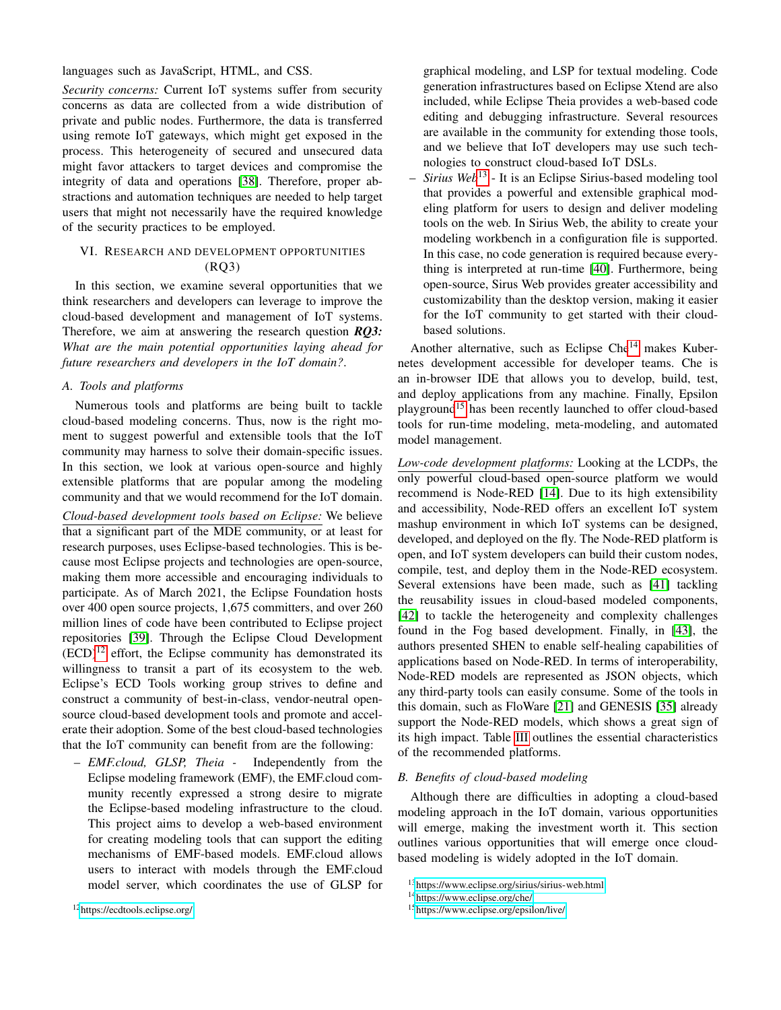languages such as JavaScript, HTML, and CSS.

*Security concerns:* Current IoT systems suffer from security concerns as data are collected from a wide distribution of private and public nodes. Furthermore, the data is transferred using remote IoT gateways, which might get exposed in the process. This heterogeneity of secured and unsecured data might favor attackers to target devices and compromise the integrity of data and operations [\[38\]](#page-9-1). Therefore, proper abstractions and automation techniques are needed to help target users that might not necessarily have the required knowledge of the security practices to be employed.

## <span id="page-6-0"></span>VI. RESEARCH AND DEVELOPMENT OPPORTUNITIES (RQ3)

In this section, we examine several opportunities that we think researchers and developers can leverage to improve the cloud-based development and management of IoT systems. Therefore, we aim at answering the research question *RQ3: What are the main potential opportunities laying ahead for future researchers and developers in the IoT domain?*.

## *A. Tools and platforms*

Numerous tools and platforms are being built to tackle cloud-based modeling concerns. Thus, now is the right moment to suggest powerful and extensible tools that the IoT community may harness to solve their domain-specific issues. In this section, we look at various open-source and highly extensible platforms that are popular among the modeling community and that we would recommend for the IoT domain.

*Cloud-based development tools based on Eclipse:* We believe that a significant part of the MDE community, or at least for research purposes, uses Eclipse-based technologies. This is because most Eclipse projects and technologies are open-source, making them more accessible and encouraging individuals to participate. As of March 2021, the Eclipse Foundation hosts over 400 open source projects, 1,675 committers, and over 260 million lines of code have been contributed to Eclipse project repositories [\[39\]](#page-9-2). Through the Eclipse Cloud Development  $(ECD)^{12}$  $(ECD)^{12}$  $(ECD)^{12}$  effort, the Eclipse community has demonstrated its willingness to transit a part of its ecosystem to the web. Eclipse's ECD Tools working group strives to define and construct a community of best-in-class, vendor-neutral opensource cloud-based development tools and promote and accelerate their adoption. Some of the best cloud-based technologies that the IoT community can benefit from are the following:

<span id="page-6-1"></span>– *EMF.cloud, GLSP, Theia -* Independently from the Eclipse modeling framework (EMF), the EMF.cloud community recently expressed a strong desire to migrate the Eclipse-based modeling infrastructure to the cloud. This project aims to develop a web-based environment for creating modeling tools that can support the editing mechanisms of EMF-based models. EMF.cloud allows users to interact with models through the EMF.cloud model server, which coordinates the use of GLSP for graphical modeling, and LSP for textual modeling. Code generation infrastructures based on Eclipse Xtend are also included, while Eclipse Theia provides a web-based code editing and debugging infrastructure. Several resources are available in the community for extending those tools, and we believe that IoT developers may use such technologies to construct cloud-based IoT DSLs.

– *Sirius Web*[13](#page-6-2) - It is an Eclipse Sirius-based modeling tool that provides a powerful and extensible graphical modeling platform for users to design and deliver modeling tools on the web. In Sirius Web, the ability to create your modeling workbench in a configuration file is supported. In this case, no code generation is required because everything is interpreted at run-time [\[40\]](#page-9-3). Furthermore, being open-source, Sirus Web provides greater accessibility and customizability than the desktop version, making it easier for the IoT community to get started with their cloudbased solutions.

Another alternative, such as Eclipse Che $14$  makes Kubernetes development accessible for developer teams. Che is an in-browser IDE that allows you to develop, build, test, and deploy applications from any machine. Finally, Epsilon playground[15](#page-6-4) has been recently launched to offer cloud-based tools for run-time modeling, meta-modeling, and automated model management.

*Low-code development platforms:* Looking at the LCDPs, the only powerful cloud-based open-source platform we would recommend is Node-RED [\[14\]](#page-8-13). Due to its high extensibility and accessibility, Node-RED offers an excellent IoT system mashup environment in which IoT systems can be designed, developed, and deployed on the fly. The Node-RED platform is open, and IoT system developers can build their custom nodes, compile, test, and deploy them in the Node-RED ecosystem. Several extensions have been made, such as [\[41\]](#page-9-4) tackling the reusability issues in cloud-based modeled components, [\[42\]](#page-9-5) to tackle the heterogeneity and complexity challenges found in the Fog based development. Finally, in [\[43\]](#page-9-6), the authors presented SHEN to enable self-healing capabilities of applications based on Node-RED. In terms of interoperability, Node-RED models are represented as JSON objects, which any third-party tools can easily consume. Some of the tools in this domain, such as FloWare [\[21\]](#page-8-20) and GENESIS [\[35\]](#page-8-34) already support the Node-RED models, which shows a great sign of its high impact. Table [III](#page-7-2) outlines the essential characteristics of the recommended platforms.

## *B. Benefits of cloud-based modeling*

Although there are difficulties in adopting a cloud-based modeling approach in the IoT domain, various opportunities will emerge, making the investment worth it. This section outlines various opportunities that will emerge once cloudbased modeling is widely adopted in the IoT domain.

<span id="page-6-2"></span><sup>13</sup><https://www.eclipse.org/sirius/sirius-web.html>

<span id="page-6-3"></span><sup>14</sup><https://www.eclipse.org/che/>

<span id="page-6-4"></span><sup>15</sup><https://www.eclipse.org/epsilon/live/>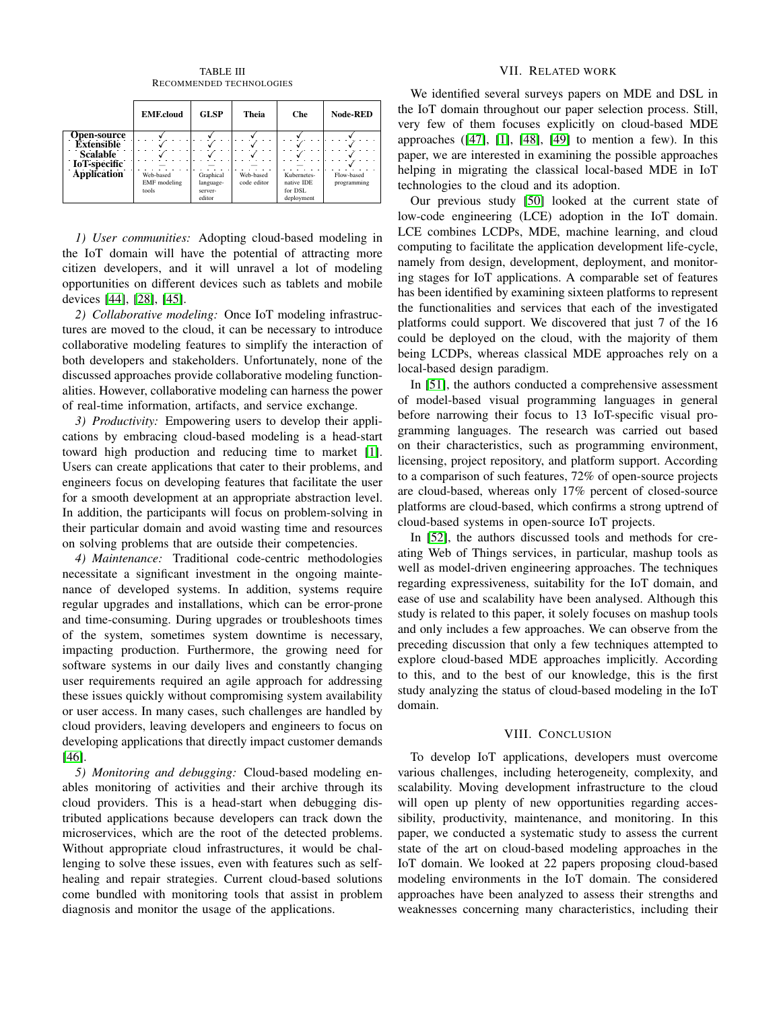<span id="page-7-2"></span>

|                    | <b>EMF.cloud</b>    | <b>GLSP</b> | Theia       | Che         | <b>Node-RED</b> |
|--------------------|---------------------|-------------|-------------|-------------|-----------------|
| <b>Open-source</b> |                     |             |             |             |                 |
| <b>Extensible</b>  |                     |             |             |             |                 |
| <b>Scalable</b>    |                     |             |             |             |                 |
| IoT-specific       |                     |             |             |             |                 |
| <b>Application</b> | Web-based           | Graphical   | Web-based   | Kubernetes- | Flow-based      |
|                    | <b>EMF</b> modeling | language-   | code editor | native IDE  | programming     |
|                    | tools               | server-     |             | for DSL     |                 |
|                    |                     | editor      |             | deployment  |                 |

TABLE III RECOMMENDED TECHNOLOGIES

*1) User communities:* Adopting cloud-based modeling in the IoT domain will have the potential of attracting more citizen developers, and it will unravel a lot of modeling opportunities on different devices such as tablets and mobile devices [\[44\]](#page-9-7), [\[28\]](#page-8-27), [\[45\]](#page-9-8).

*2) Collaborative modeling:* Once IoT modeling infrastructures are moved to the cloud, it can be necessary to introduce collaborative modeling features to simplify the interaction of both developers and stakeholders. Unfortunately, none of the discussed approaches provide collaborative modeling functionalities. However, collaborative modeling can harness the power of real-time information, artifacts, and service exchange.

*3) Productivity:* Empowering users to develop their applications by embracing cloud-based modeling is a head-start toward high production and reducing time to market [\[1\]](#page-8-0). Users can create applications that cater to their problems, and engineers focus on developing features that facilitate the user for a smooth development at an appropriate abstraction level. In addition, the participants will focus on problem-solving in their particular domain and avoid wasting time and resources on solving problems that are outside their competencies.

*4) Maintenance:* Traditional code-centric methodologies necessitate a significant investment in the ongoing maintenance of developed systems. In addition, systems require regular upgrades and installations, which can be error-prone and time-consuming. During upgrades or troubleshoots times of the system, sometimes system downtime is necessary, impacting production. Furthermore, the growing need for software systems in our daily lives and constantly changing user requirements required an agile approach for addressing these issues quickly without compromising system availability or user access. In many cases, such challenges are handled by cloud providers, leaving developers and engineers to focus on developing applications that directly impact customer demands [\[46\]](#page-9-9).

*5) Monitoring and debugging:* Cloud-based modeling enables monitoring of activities and their archive through its cloud providers. This is a head-start when debugging distributed applications because developers can track down the microservices, which are the root of the detected problems. Without appropriate cloud infrastructures, it would be challenging to solve these issues, even with features such as selfhealing and repair strategies. Current cloud-based solutions come bundled with monitoring tools that assist in problem diagnosis and monitor the usage of the applications.

## VII. RELATED WORK

<span id="page-7-0"></span>We identified several surveys papers on MDE and DSL in the IoT domain throughout our paper selection process. Still, very few of them focuses explicitly on cloud-based MDE approaches  $(47]$ ,  $[1]$ ,  $[48]$ ,  $[49]$  to mention a few). In this paper, we are interested in examining the possible approaches helping in migrating the classical local-based MDE in IoT technologies to the cloud and its adoption.

Our previous study [\[50\]](#page-9-13) looked at the current state of low-code engineering (LCE) adoption in the IoT domain. LCE combines LCDPs, MDE, machine learning, and cloud computing to facilitate the application development life-cycle, namely from design, development, deployment, and monitoring stages for IoT applications. A comparable set of features has been identified by examining sixteen platforms to represent the functionalities and services that each of the investigated platforms could support. We discovered that just 7 of the 16 could be deployed on the cloud, with the majority of them being LCDPs, whereas classical MDE approaches rely on a local-based design paradigm.

In [\[51\]](#page-9-14), the authors conducted a comprehensive assessment of model-based visual programming languages in general before narrowing their focus to 13 IoT-specific visual programming languages. The research was carried out based on their characteristics, such as programming environment, licensing, project repository, and platform support. According to a comparison of such features, 72% of open-source projects are cloud-based, whereas only 17% percent of closed-source platforms are cloud-based, which confirms a strong uptrend of cloud-based systems in open-source IoT projects.

In [\[52\]](#page-9-15), the authors discussed tools and methods for creating Web of Things services, in particular, mashup tools as well as model-driven engineering approaches. The techniques regarding expressiveness, suitability for the IoT domain, and ease of use and scalability have been analysed. Although this study is related to this paper, it solely focuses on mashup tools and only includes a few approaches. We can observe from the preceding discussion that only a few techniques attempted to explore cloud-based MDE approaches implicitly. According to this, and to the best of our knowledge, this is the first study analyzing the status of cloud-based modeling in the IoT domain.

### VIII. CONCLUSION

<span id="page-7-1"></span>To develop IoT applications, developers must overcome various challenges, including heterogeneity, complexity, and scalability. Moving development infrastructure to the cloud will open up plenty of new opportunities regarding accessibility, productivity, maintenance, and monitoring. In this paper, we conducted a systematic study to assess the current state of the art on cloud-based modeling approaches in the IoT domain. We looked at 22 papers proposing cloud-based modeling environments in the IoT domain. The considered approaches have been analyzed to assess their strengths and weaknesses concerning many characteristics, including their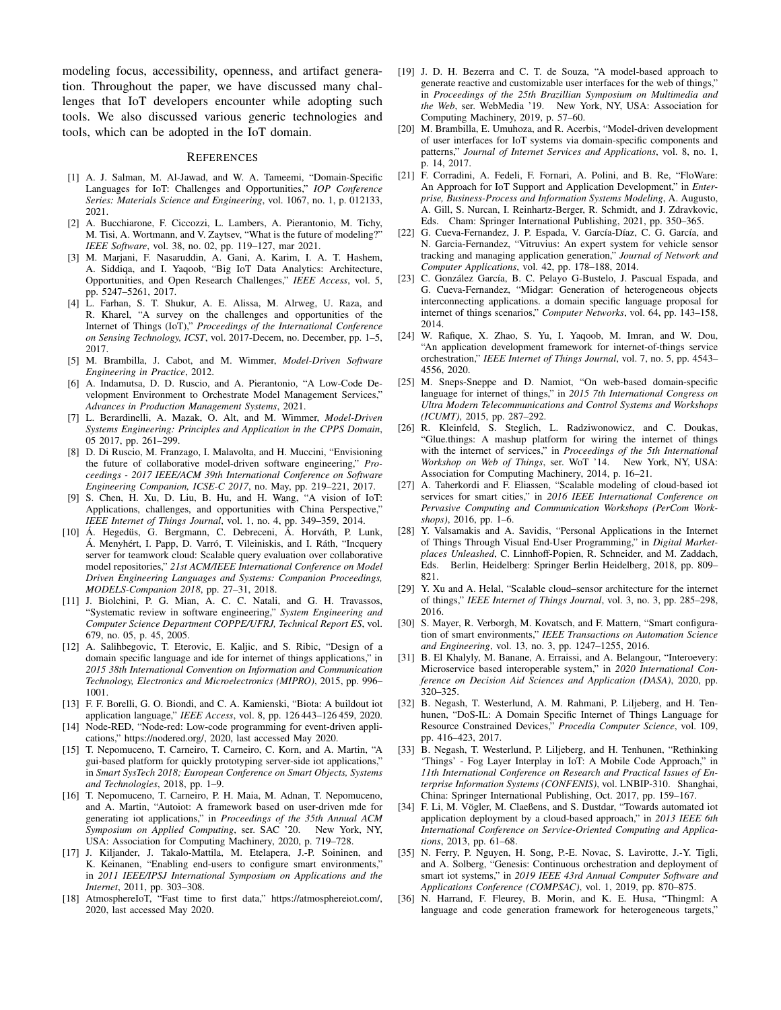modeling focus, accessibility, openness, and artifact generation. Throughout the paper, we have discussed many challenges that IoT developers encounter while adopting such tools. We also discussed various generic technologies and tools, which can be adopted in the IoT domain.

#### **REFERENCES**

- <span id="page-8-0"></span>[1] A. J. Salman, M. Al-Jawad, and W. A. Tameemi, "Domain-Specific Languages for IoT: Challenges and Opportunities," *IOP Conference Series: Materials Science and Engineering*, vol. 1067, no. 1, p. 012133, 2021.
- <span id="page-8-1"></span>[2] A. Bucchiarone, F. Ciccozzi, L. Lambers, A. Pierantonio, M. Tichy, M. Tisi, A. Wortmann, and V. Zaytsev, "What is the future of modeling?" *IEEE Software*, vol. 38, no. 02, pp. 119–127, mar 2021.
- <span id="page-8-2"></span>[3] M. Marjani, F. Nasaruddin, A. Gani, A. Karim, I. A. T. Hashem, A. Siddiqa, and I. Yaqoob, "Big IoT Data Analytics: Architecture, Opportunities, and Open Research Challenges," *IEEE Access*, vol. 5, pp. 5247–5261, 2017.
- <span id="page-8-3"></span>[4] L. Farhan, S. T. Shukur, A. E. Alissa, M. Alrweg, U. Raza, and R. Kharel, "A survey on the challenges and opportunities of the Internet of Things (IoT)," *Proceedings of the International Conference on Sensing Technology, ICST*, vol. 2017-Decem, no. December, pp. 1–5, 2017.
- <span id="page-8-4"></span>[5] M. Brambilla, J. Cabot, and M. Wimmer, *Model-Driven Software Engineering in Practice*, 2012.
- <span id="page-8-5"></span>[6] A. Indamutsa, D. D. Ruscio, and A. Pierantonio, "A Low-Code Development Environment to Orchestrate Model Management Services," *Advances in Production Management Systems*, 2021.
- <span id="page-8-6"></span>[7] L. Berardinelli, A. Mazak, O. Alt, and M. Wimmer, *Model-Driven Systems Engineering: Principles and Application in the CPPS Domain*, 05 2017, pp. 261–299.
- <span id="page-8-7"></span>[8] D. Di Ruscio, M. Franzago, I. Malavolta, and H. Muccini, "Envisioning the future of collaborative model-driven software engineering," *Proceedings - 2017 IEEE/ACM 39th International Conference on Software Engineering Companion, ICSE-C 2017*, no. May, pp. 219–221, 2017.
- <span id="page-8-8"></span>[9] S. Chen, H. Xu, D. Liu, B. Hu, and H. Wang, "A vision of IoT: Applications, challenges, and opportunities with China Perspective," *IEEE Internet of Things Journal*, vol. 1, no. 4, pp. 349–359, 2014.
- <span id="page-8-9"></span> $[10]$  Á. Hegedüs, G. Bergmann, C. Debreceni, Á. Horváth, P. Lunk, Á. Menyhért, I. Papp, D. Varró, T. Vileiniskis, and I. Ráth, "Incquery server for teamwork cloud: Scalable query evaluation over collaborative model repositories," *21st ACM/IEEE International Conference on Model Driven Engineering Languages and Systems: Companion Proceedings, MODELS-Companion 2018*, pp. 27–31, 2018.
- <span id="page-8-10"></span>[11] J. Biolchini, P. G. Mian, A. C. C. Natali, and G. H. Travassos, "Systematic review in software engineering," *System Engineering and Computer Science Department COPPE/UFRJ, Technical Report ES*, vol. 679, no. 05, p. 45, 2005.
- <span id="page-8-11"></span>[12] A. Salihbegovic, T. Eterovic, E. Kaljic, and S. Ribic, "Design of a domain specific language and ide for internet of things applications," in *2015 38th International Convention on Information and Communication Technology, Electronics and Microelectronics (MIPRO)*, 2015, pp. 996– 1001.
- <span id="page-8-12"></span>[13] F. F. Borelli, G. O. Biondi, and C. A. Kamienski, "Biota: A buildout iot application language," *IEEE Access*, vol. 8, pp. 126 443–126 459, 2020.
- <span id="page-8-13"></span>[14] Node-RED, "Node-red: Low-code programming for event-driven applications," https://nodered.org/, 2020, last accessed May 2020.
- <span id="page-8-14"></span>[15] T. Nepomuceno, T. Carneiro, T. Carneiro, C. Korn, and A. Martin, "A gui-based platform for quickly prototyping server-side iot applications," in *Smart SysTech 2018; European Conference on Smart Objects, Systems and Technologies*, 2018, pp. 1–9.
- <span id="page-8-15"></span>[16] T. Nepomuceno, T. Carneiro, P. H. Maia, M. Adnan, T. Nepomuceno, and A. Martin, "Autoiot: A framework based on user-driven mde for generating iot applications," in *Proceedings of the 35th Annual ACM Symposium on Applied Computing*, ser. SAC '20. New York, NY, USA: Association for Computing Machinery, 2020, p. 719–728.
- <span id="page-8-16"></span>[17] J. Kiljander, J. Takalo-Mattila, M. Etelapera, J.-P. Soininen, and K. Keinanen, "Enabling end-users to configure smart environments," in *2011 IEEE/IPSJ International Symposium on Applications and the Internet*, 2011, pp. 303–308.
- <span id="page-8-17"></span>[18] AtmosphereIoT, "Fast time to first data," https://atmosphereiot.com/, 2020, last accessed May 2020.
- <span id="page-8-18"></span>[19] J. D. H. Bezerra and C. T. de Souza, "A model-based approach to generate reactive and customizable user interfaces for the web of things," in *Proceedings of the 25th Brazillian Symposium on Multimedia and the Web*, ser. WebMedia '19. New York, NY, USA: Association for Computing Machinery, 2019, p. 57–60.
- <span id="page-8-19"></span>[20] M. Brambilla, E. Umuhoza, and R. Acerbis, "Model-driven development of user interfaces for IoT systems via domain-specific components and patterns," *Journal of Internet Services and Applications*, vol. 8, no. 1, p. 14, 2017.
- <span id="page-8-20"></span>[21] F. Corradini, A. Fedeli, F. Fornari, A. Polini, and B. Re, "FloWare: An Approach for IoT Support and Application Development," in *Enterprise, Business-Process and Information Systems Modeling*, A. Augusto, A. Gill, S. Nurcan, I. Reinhartz-Berger, R. Schmidt, and J. Zdravkovic, Eds. Cham: Springer International Publishing, 2021, pp. 350–365.
- <span id="page-8-21"></span>[22] G. Cueva-Fernandez, J. P. Espada, V. García-Díaz, C. G. García, and N. Garcia-Fernandez, "Vitruvius: An expert system for vehicle sensor tracking and managing application generation," *Journal of Network and Computer Applications*, vol. 42, pp. 178–188, 2014.
- <span id="page-8-22"></span>[23] C. González García, B. C. Pelayo G-Bustelo, J. Pascual Espada, and G. Cueva-Fernandez, "Midgar: Generation of heterogeneous objects interconnecting applications. a domain specific language proposal for internet of things scenarios," *Computer Networks*, vol. 64, pp. 143–158, 2014.
- <span id="page-8-23"></span>[24] W. Rafique, X. Zhao, S. Yu, I. Yaqoob, M. Imran, and W. Dou, "An application development framework for internet-of-things service orchestration," *IEEE Internet of Things Journal*, vol. 7, no. 5, pp. 4543– 4556, 2020.
- <span id="page-8-24"></span>[25] M. Sneps-Sneppe and D. Namiot, "On web-based domain-specific language for internet of things," in *2015 7th International Congress on Ultra Modern Telecommunications and Control Systems and Workshops (ICUMT)*, 2015, pp. 287–292.
- <span id="page-8-25"></span>[26] R. Kleinfeld, S. Steglich, L. Radziwonowicz, and C. Doukas, "Glue.things: A mashup platform for wiring the internet of things with the internet of services," in *Proceedings of the 5th International Workshop on Web of Things*, ser. WoT '14. New York, NY, USA: Association for Computing Machinery, 2014, p. 16–21.
- <span id="page-8-26"></span>[27] A. Taherkordi and F. Eliassen, "Scalable modeling of cloud-based iot services for smart cities," in *2016 IEEE International Conference on Pervasive Computing and Communication Workshops (PerCom Workshops)*, 2016, pp. 1–6.
- <span id="page-8-27"></span>[28] Y. Valsamakis and A. Savidis, "Personal Applications in the Internet of Things Through Visual End-User Programming," in *Digital Marketplaces Unleashed*, C. Linnhoff-Popien, R. Schneider, and M. Zaddach, Eds. Berlin, Heidelberg: Springer Berlin Heidelberg, 2018, pp. 809– 821.
- <span id="page-8-28"></span>[29] Y. Xu and A. Helal, "Scalable cloud–sensor architecture for the internet of things," *IEEE Internet of Things Journal*, vol. 3, no. 3, pp. 285–298, 2016.
- <span id="page-8-29"></span>[30] S. Mayer, R. Verborgh, M. Kovatsch, and F. Mattern, "Smart configuration of smart environments," *IEEE Transactions on Automation Science and Engineering*, vol. 13, no. 3, pp. 1247–1255, 2016.
- <span id="page-8-30"></span>[31] B. El Khalyly, M. Banane, A. Erraissi, and A. Belangour, "Interoevery: Microservice based interoperable system," in *2020 International Conference on Decision Aid Sciences and Application (DASA)*, 2020, pp. 320–325.
- <span id="page-8-31"></span>[32] B. Negash, T. Westerlund, A. M. Rahmani, P. Liljeberg, and H. Tenhunen, "DoS-IL: A Domain Specific Internet of Things Language for Resource Constrained Devices," *Procedia Computer Science*, vol. 109, pp. 416–423, 2017.
- <span id="page-8-32"></span>[33] B. Negash, T. Westerlund, P. Liljeberg, and H. Tenhunen, "Rethinking 'Things' - Fog Layer Interplay in IoT: A Mobile Code Approach," in *11th International Conference on Research and Practical Issues of Enterprise Information Systems (CONFENIS)*, vol. LNBIP-310. Shanghai, China: Springer International Publishing, Oct. 2017, pp. 159–167.
- <span id="page-8-33"></span>[34] F. Li, M. Vögler, M. Claeßens, and S. Dustdar, "Towards automated iot application deployment by a cloud-based approach," in *2013 IEEE 6th International Conference on Service-Oriented Computing and Applications*, 2013, pp. 61–68.
- <span id="page-8-34"></span>[35] N. Ferry, P. Nguyen, H. Song, P.-E. Novac, S. Lavirotte, J.-Y. Tigli, and A. Solberg, "Genesis: Continuous orchestration and deployment of smart iot systems," in *2019 IEEE 43rd Annual Computer Software and Applications Conference (COMPSAC)*, vol. 1, 2019, pp. 870–875.
- <span id="page-8-35"></span>[36] N. Harrand, F. Fleurey, B. Morin, and K. E. Husa, "Thingml: A language and code generation framework for heterogeneous targets,"